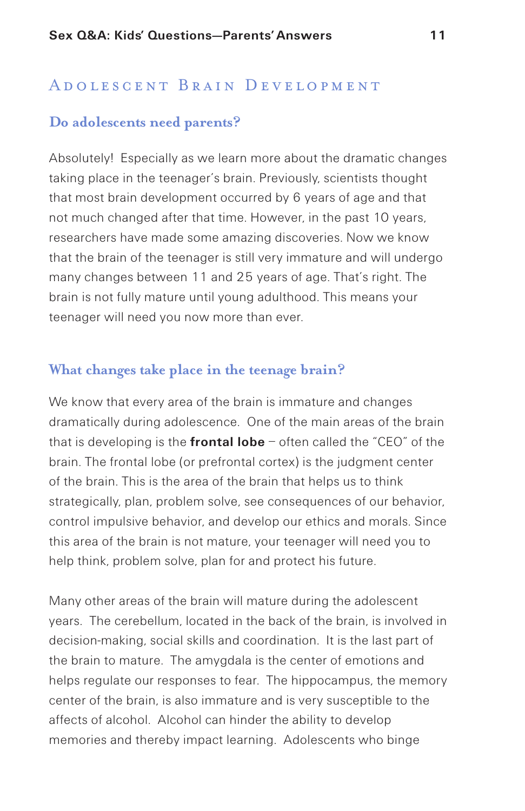#### ADOLESCENT BRAIN DEVELOPMENT

### **Do adolescents need parents?**

Absolutely! Especially as we learn more about the dramatic changes taking place in the teenager's brain. Previously, scientists thought that most brain development occurred by 6 years of age and that not much changed after that time. However, in the past 10 years, researchers have made some amazing discoveries. Now we know that the brain of the teenager is still very immature and will undergo many changes between 11 and 25 years of age. That's right. The brain is not fully mature until young adulthood. This means your teenager will need you now more than ever.

#### **What changes take place in the teenage brain?**

We know that every area of the brain is immature and changes dramatically during adolescence. One of the main areas of the brain that is developing is the **frontal lobe** – often called the "CEO" of the brain. The frontal lobe (or prefrontal cortex) is the judgment center of the brain. This is the area of the brain that helps us to think strategically, plan, problem solve, see consequences of our behavior, control impulsive behavior, and develop our ethics and morals. Since this area of the brain is not mature, your teenager will need you to help think, problem solve, plan for and protect his future.

Many other areas of the brain will mature during the adolescent years. The cerebellum, located in the back of the brain, is involved in decision-making, social skills and coordination. It is the last part of the brain to mature. The amygdala is the center of emotions and helps regulate our responses to fear. The hippocampus, the memory center of the brain, is also immature and is very susceptible to the affects of alcohol. Alcohol can hinder the ability to develop memories and thereby impact learning. Adolescents who binge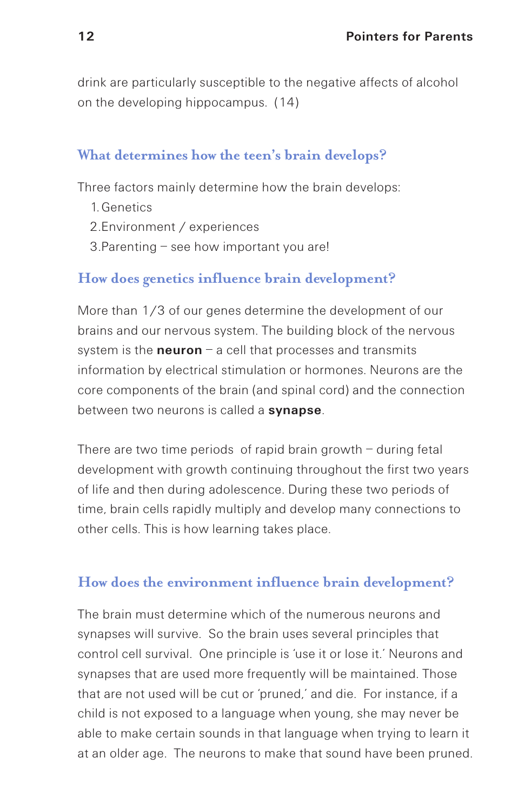drink are particularly susceptible to the negative affects of alcohol on the developing hippocampus. (14)

### **What determines how the teen's brain develops?**

Three factors mainly determine how the brain develops:

- 1. Genetics
- 2.Environment / experiences
- 3.Parenting see how important you are!

#### **How does genetics influence brain development?**

More than 1/3 of our genes determine the development of our brains and our nervous system. The building block of the nervous system is the **neuron** – a cell that processes and transmits information by electrical stimulation or hormones. Neurons are the core components of the brain (and spinal cord) and the connection between two neurons is called a **synapse**.

There are two time periods of rapid brain growth – during fetal development with growth continuing throughout the first two years of life and then during adolescence. During these two periods of time, brain cells rapidly multiply and develop many connections to other cells. This is how learning takes place.

#### **How does the environment influence brain development?**

The brain must determine which of the numerous neurons and synapses will survive. So the brain uses several principles that control cell survival. One principle is 'use it or lose it.' Neurons and synapses that are used more frequently will be maintained. Those that are not used will be cut or 'pruned,' and die. For instance, if a child is not exposed to a language when young, she may never be able to make certain sounds in that language when trying to learn it at an older age. The neurons to make that sound have been pruned.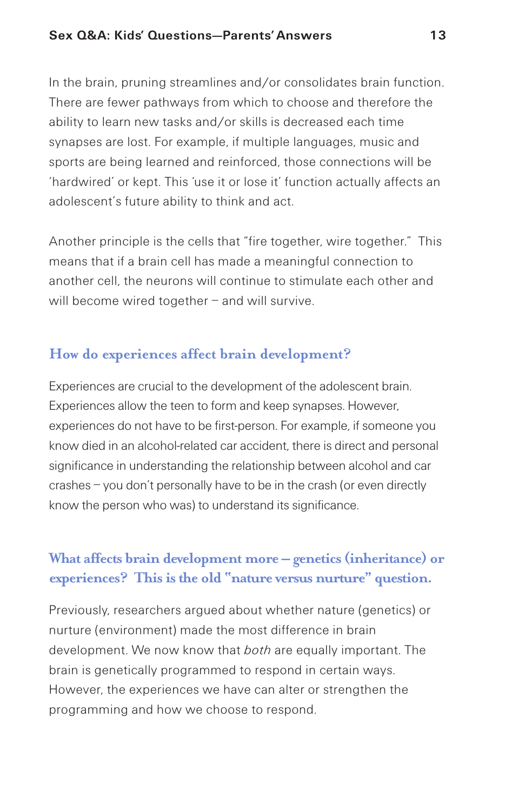In the brain, pruning streamlines and/or consolidates brain function. There are fewer pathways from which to choose and therefore the ability to learn new tasks and/or skills is decreased each time synapses are lost. For example, if multiple languages, music and sports are being learned and reinforced, those connections will be 'hardwired' or kept. This 'use it or lose it' function actually affects an adolescent's future ability to think and act.

Another principle is the cells that "fire together, wire together." This means that if a brain cell has made a meaningful connection to another cell, the neurons will continue to stimulate each other and will become wired together – and will survive.

# **How do experiences affect brain development?**

Experiences are crucial to the development of the adolescent brain. Experiences allow the teen to form and keep synapses. However, experiences do not have to be first-person. For example, if someone you know died in an alcohol-related car accident, there is direct and personal significance in understanding the relationship between alcohol and car crashes – you don't personally have to be in the crash (or even directly know the person who was) to understand its significance.

# **What affects brain development more – genetics(inheritance) or experiences? Thisisthe old "nature versus nurture" question.**

Previously, researchers argued about whether nature (genetics) or nurture (environment) made the most difference in brain development. We now know that *both* are equally important. The brain is genetically programmed to respond in certain ways. However, the experiences we have can alter or strengthen the programming and how we choose to respond.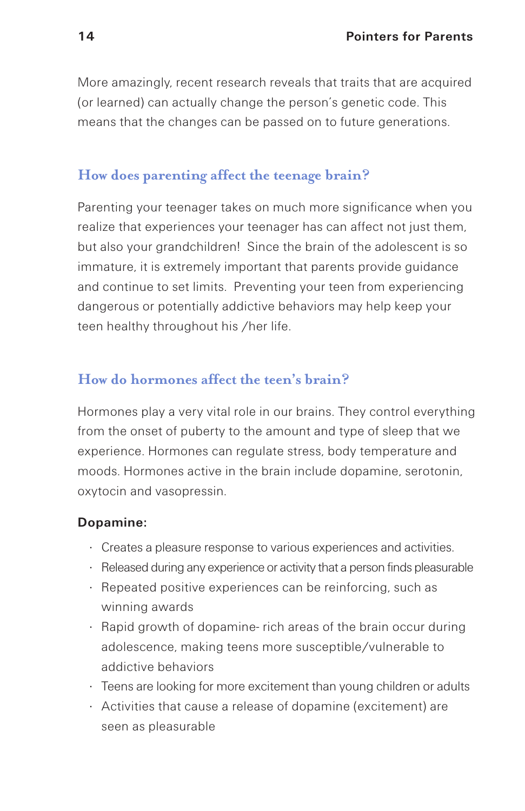More amazingly, recent research reveals that traits that are acquired (or learned) can actually change the person's genetic code. This means that the changes can be passed on to future generations.

## **How does parenting affect the teenage brain?**

Parenting your teenager takes on much more significance when you realize that experiences your teenager has can affect not just them, but also your grandchildren! Since the brain of the adolescent is so immature, it is extremely important that parents provide guidance and continue to set limits. Preventing your teen from experiencing dangerous or potentially addictive behaviors may help keep your teen healthy throughout his /her life.

## **How do hormones affect the teen's brain?**

Hormones play a very vital role in our brains. They control everything from the onset of puberty to the amount and type of sleep that we experience. Hormones can regulate stress, body temperature and moods. Hormones active in the brain include dopamine, serotonin, oxytocin and vasopressin.

#### **Dopamine:**

- · Creates a pleasure response to various experiences and activities.
- · Released during any experience or activity that a person finds pleasurable
- · Repeated positive experiences can be reinforcing, such as winning awards
- · Rapid growth of dopamine- rich areas of the brain occur during adolescence, making teens more susceptible/vulnerable to addictive behaviors
- · Teens are looking for more excitement than young children or adults
- · Activities that cause a release of dopamine (excitement) are seen as pleasurable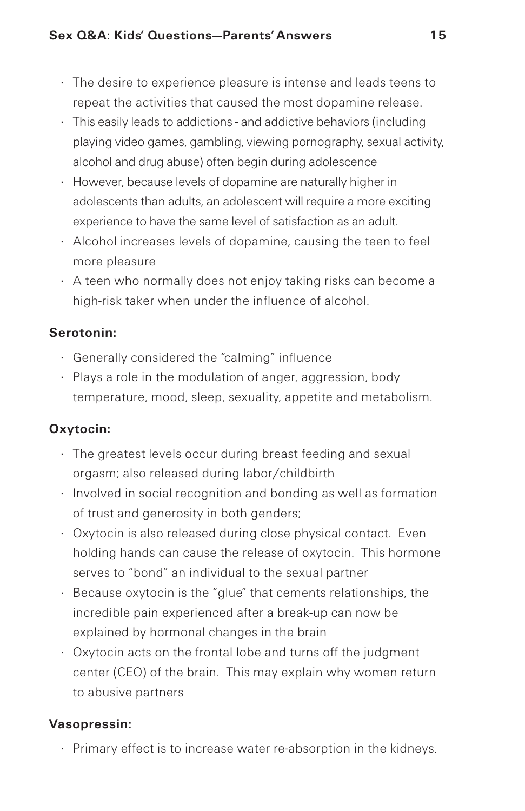- · The desire to experience pleasure is intense and leads teens to repeat the activities that caused the most dopamine release.
- · This easily leads to addictions and addictive behaviors (including playing video games, gambling, viewing pornography, sexual activity, alcohol and drug abuse) often begin during adolescence
- · However, because levels of dopamine are naturally higher in adolescents than adults, an adolescent will require a more exciting experience to have the same level of satisfaction as an adult.
- · Alcohol increases levels of dopamine, causing the teen to feel more pleasure
- · A teen who normally does not enjoy taking risks can become a high-risk taker when under the influence of alcohol.

## **Serotonin:**

- · Generally considered the "calming" influence
- · Plays a role in the modulation of anger, aggression, body temperature, mood, sleep, sexuality, appetite and metabolism.

## **Oxytocin:**

- · The greatest levels occur during breast feeding and sexual orgasm; also released during labor/childbirth
- · Involved in social recognition and bonding as well as formation of trust and generosity in both genders;
- · Oxytocin is also released during close physical contact. Even holding hands can cause the release of oxytocin. This hormone serves to "bond" an individual to the sexual partner
- · Because oxytocin is the "glue" that cements relationships, the incredible pain experienced after a break-up can now be explained by hormonal changes in the brain
- · Oxytocin acts on the frontal lobe and turns off the judgment center (CEO) of the brain. This may explain why women return to abusive partners

## **Vasopressin:**

· Primary effect is to increase water re-absorption in the kidneys.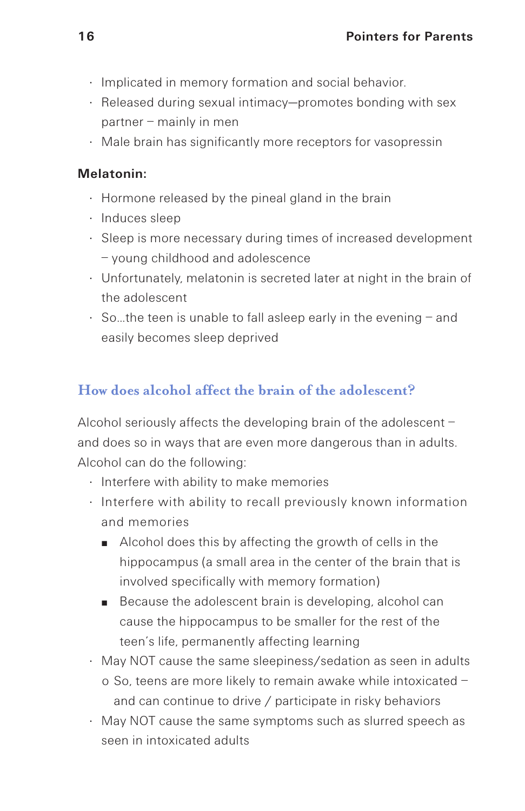- · Implicated in memory formation and social behavior.
- · Released during sexual intimacy—promotes bonding with sex partner – mainly in men
- · Male brain has significantly more receptors for vasopressin

#### **Melatonin:**

- · Hormone released by the pineal gland in the brain
- · Induces sleep
- · Sleep is more necessary during times of increased development – young childhood and adolescence
- · Unfortunately, melatonin is secreted later at night in the brain of the adolescent
- $\cdot$  So ... the teen is unable to fall asleep early in the evening  $-$  and easily becomes sleep deprived

# **How does alcohol affect the brain of the adolescent?**

Alcohol seriously affects the developing brain of the adolescent – and does so in ways that are even more dangerous than in adults. Alcohol can do the following:

- · Interfere with ability to make memories
- · Interfere with ability to recall previously known information and memories
	- Alcohol does this by affecting the growth of cells in the hippocampus (a small area in the center of the brain that is involved specifically with memory formation)
	- Because the adolescent brain is developing, alcohol can cause the hippocampus to be smaller for the rest of the teen's life, permanently affecting learning
- · May NOT cause the same sleepiness/sedation as seen in adults o So, teens are more likely to remain awake while intoxicated – and can continue to drive / participate in risky behaviors
- · May NOT cause the same symptoms such as slurred speech as seen in intoxicated adults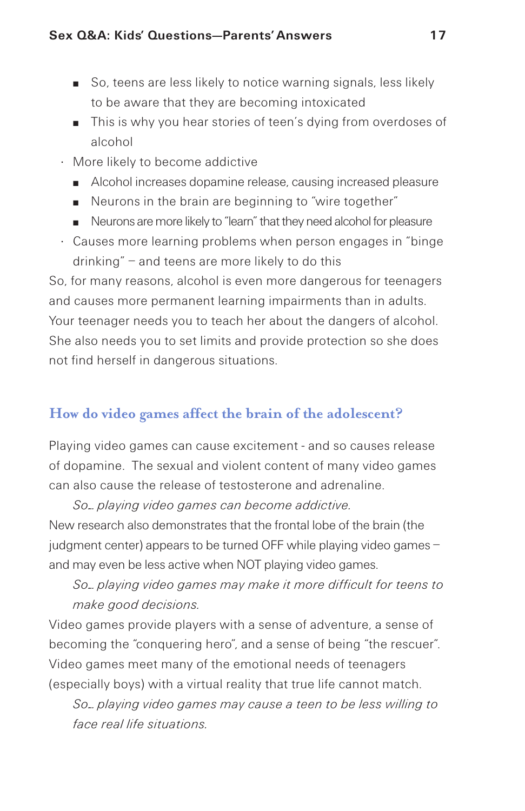- So, teens are less likely to notice warning signals, less likely to be aware that they are becoming intoxicated
- This is why you hear stories of teen's dying from overdoses of alcohol
- · More likely to become addictive
	- Alcohol increases dopamine release, causing increased pleasure
	- Neurons in the brain are beginning to "wire together"
	- Neurons are more likely to "learn" that they need alcohol for pleasure
- · Causes more learning problems when person engages in "binge drinking" – and teens are more likely to do this

So, for many reasons, alcohol is even more dangerous for teenagers and causes more permanent learning impairments than in adults. Your teenager needs you to teach her about the dangers of alcohol. She also needs you to set limits and provide protection so she does not find herself in dangerous situations.

## **How do video games affect the brain of the adolescent?**

Playing video games can cause excitement - and so causes release of dopamine. The sexual and violent content of many video games can also cause the release of testosterone and adrenaline.

*So… playing video games can become addictive.* New research also demonstrates that the frontal lobe of the brain (the judgment center) appears to be turned OFF while playing video games – and may even be less active when NOT playing video games.

*So… playing video games may make it more difficult for teens to make good decisions.*

Video games provide players with a sense of adventure, a sense of becoming the "conquering hero", and a sense of being "the rescuer". Video games meet many of the emotional needs of teenagers (especially boys) with a virtual reality that true life cannot match.

*So… playing video games may cause a teen to be less willing to face real life situations.*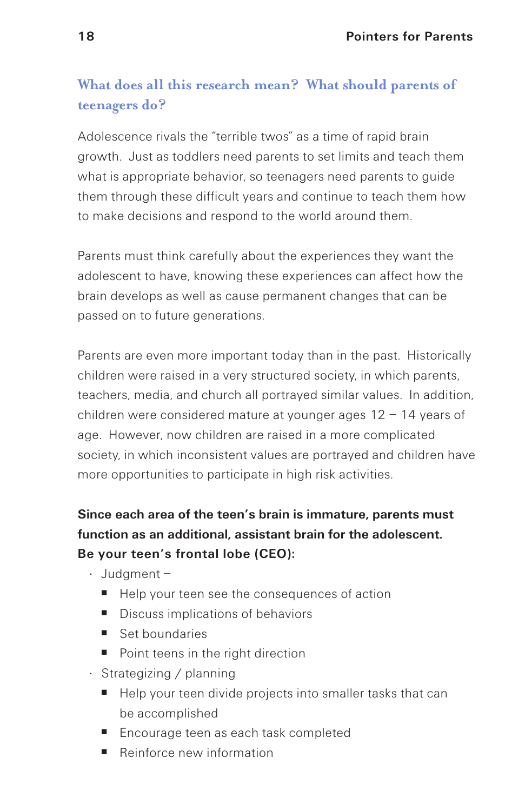# **What does all this research mean? What should parents of teenagers do?**

Adolescence rivals the "terrible twos" as a time of rapid brain growth. Just as toddlers need parents to set limits and teach them what is appropriate behavior, so teenagers need parents to guide them through these difficult years and continue to teach them how to make decisions and respond to the world around them.

Parents must think carefully about the experiences they want the adolescent to have, knowing these experiences can affect how the brain develops as well as cause permanent changes that can be passed on to future generations.

Parents are even more important today than in the past. Historically children were raised in a very structured society, in which parents, teachers, media, and church all portrayed similar values. In addition, children were considered mature at younger ages 12 – 14 years of age. However, now children are raised in a more complicated society, in which inconsistent values are portrayed and children have more opportunities to participate in high risk activities.

# **Since each area of the teen's brain is immature, parents must function as an additional, assistant brain for the adolescent. Be your teen's frontal lobe (CEO):**

- · Judgment
	- Help your teen see the consequences of action
	- Discuss implications of behaviors
	- Set boundaries
	- Point teens in the right direction
- · Strategizing / planning
	- Help your teen divide projects into smaller tasks that can be accomplished
	- Encourage teen as each task completed
	- **■** Reinforce new information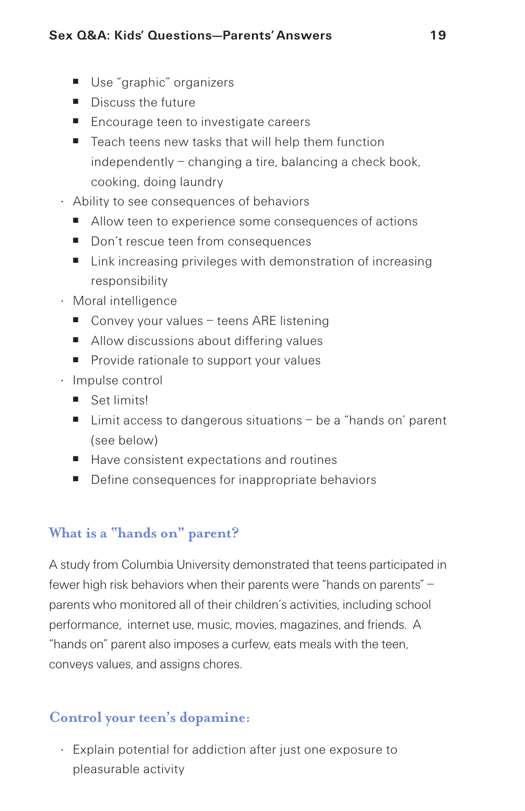- Use "graphic" organizers
- Discuss the future
- Encourage teen to investigate careers
- Teach teens new tasks that will help them function independently – changing a tire, balancing a check book, cooking, doing laundry
- · Ability to see consequences of behaviors
	- Allow teen to experience some consequences of actions
	- Don't rescue teen from consequences
	- Link increasing privileges with demonstration of increasing responsibility
- · Moral intelligence
	- Convey your values teens ARE listening
	- Allow discussions about differing values
	- Provide rationale to support your values
- · Impulse control
	- Set limits!
	- Limit access to dangerous situations be a "hands on' parent (see below)
	- Have consistent expectations and routines
	- Define consequences for inappropriate behaviors

## **What is a "hands on" parent?**

A study from Columbia University demonstrated that teens participated in fewer high risk behaviors when their parents were "hands on parents" – parents who monitored all of their children's activities, including school performance, internet use, music, movies, magazines, and friends. A "hands on" parent also imposes a curfew, eats meals with the teen, conveys values, and assigns chores.

## **Control your teen's dopamine:**

· Explain potential for addiction after just one exposure to pleasurable activity